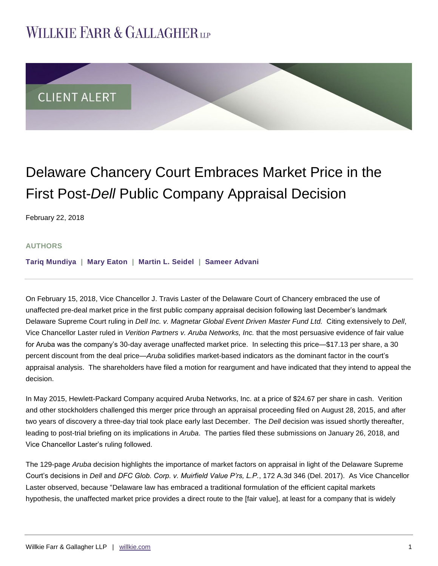# **WILLKIE FARR & GALLAGHERUP**



## Delaware Chancery Court Embraces Market Price in the First Post-*Dell* Public Company Appraisal Decision

February 22, 2018

#### **AUTHORS**

**[Tariq Mundiya](http://www.willkie.com/professionals/m/mundiya-tariq) | [Mary Eaton](http://www.willkie.com/professionals/e/eaton-mary) | [Martin L. Seidel](http://www.willkie.com/professionals/s/seidel-martin) | [Sameer Advani](http://www.willkie.com/professionals/a/advani-sameer)**

On February 15, 2018, Vice Chancellor J. Travis Laster of the Delaware Court of Chancery embraced the use of unaffected pre-deal market price in the first public company appraisal decision following last December's landmark Delaware Supreme Court ruling in *Dell Inc. v. Magnetar Global Event Driven Master Fund Ltd.* Citing extensively to *Dell*, Vice Chancellor Laster ruled in *Verition Partners v. Aruba Networks, Inc.* that the most persuasive evidence of fair value for Aruba was the company's 30-day average unaffected market price. In selecting this price—\$17.13 per share, a 30 percent discount from the deal price—*Aruba* solidifies market-based indicators as the dominant factor in the court's appraisal analysis. The shareholders have filed a motion for reargument and have indicated that they intend to appeal the decision.

In May 2015, Hewlett-Packard Company acquired Aruba Networks, Inc. at a price of \$24.67 per share in cash. Verition and other stockholders challenged this merger price through an appraisal proceeding filed on August 28, 2015, and after two years of discovery a three-day trial took place early last December. The *Dell* decision was issued shortly thereafter, leading to post-trial briefing on its implications in *Aruba*. The parties filed these submissions on January 26, 2018, and Vice Chancellor Laster's ruling followed.

The 129-page *Aruba* decision highlights the importance of market factors on appraisal in light of the Delaware Supreme Court's decisions in *Dell* and *DFC Glob. Corp. v. Muirfield Value P'rs, L.P.*, 172 A.3d 346 (Del. 2017). As Vice Chancellor Laster observed, because "Delaware law has embraced a traditional formulation of the efficient capital markets hypothesis, the unaffected market price provides a direct route to the [fair value], at least for a company that is widely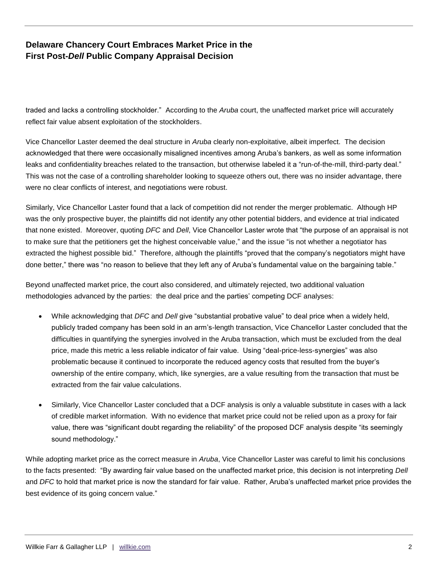## **Delaware Chancery Court Embraces Market Price in the First Post-***Dell* **Public Company Appraisal Decision**

traded and lacks a controlling stockholder." According to the *Aruba* court, the unaffected market price will accurately reflect fair value absent exploitation of the stockholders.

Vice Chancellor Laster deemed the deal structure in *Aruba* clearly non-exploitative, albeit imperfect. The decision acknowledged that there were occasionally misaligned incentives among Aruba's bankers, as well as some information leaks and confidentiality breaches related to the transaction, but otherwise labeled it a "run-of-the-mill, third-party deal." This was not the case of a controlling shareholder looking to squeeze others out, there was no insider advantage, there were no clear conflicts of interest, and negotiations were robust.

Similarly, Vice Chancellor Laster found that a lack of competition did not render the merger problematic. Although HP was the only prospective buyer, the plaintiffs did not identify any other potential bidders, and evidence at trial indicated that none existed. Moreover, quoting *DFC* and *Dell*, Vice Chancellor Laster wrote that "the purpose of an appraisal is not to make sure that the petitioners get the highest conceivable value," and the issue "is not whether a negotiator has extracted the highest possible bid." Therefore, although the plaintiffs "proved that the company's negotiators might have done better," there was "no reason to believe that they left any of Aruba's fundamental value on the bargaining table."

Beyond unaffected market price, the court also considered, and ultimately rejected, two additional valuation methodologies advanced by the parties: the deal price and the parties' competing DCF analyses:

- While acknowledging that *DFC* and *Dell* give "substantial probative value" to deal price when a widely held, publicly traded company has been sold in an arm's-length transaction, Vice Chancellor Laster concluded that the difficulties in quantifying the synergies involved in the Aruba transaction, which must be excluded from the deal price, made this metric a less reliable indicator of fair value. Using "deal-price-less-synergies" was also problematic because it continued to incorporate the reduced agency costs that resulted from the buyer's ownership of the entire company, which, like synergies, are a value resulting from the transaction that must be extracted from the fair value calculations.
- Similarly, Vice Chancellor Laster concluded that a DCF analysis is only a valuable substitute in cases with a lack of credible market information. With no evidence that market price could not be relied upon as a proxy for fair value, there was "significant doubt regarding the reliability" of the proposed DCF analysis despite "its seemingly sound methodology."

While adopting market price as the correct measure in *Aruba*, Vice Chancellor Laster was careful to limit his conclusions to the facts presented: "By awarding fair value based on the unaffected market price, this decision is not interpreting *Dell*  and *DFC* to hold that market price is now the standard for fair value. Rather, Aruba's unaffected market price provides the best evidence of its going concern value."